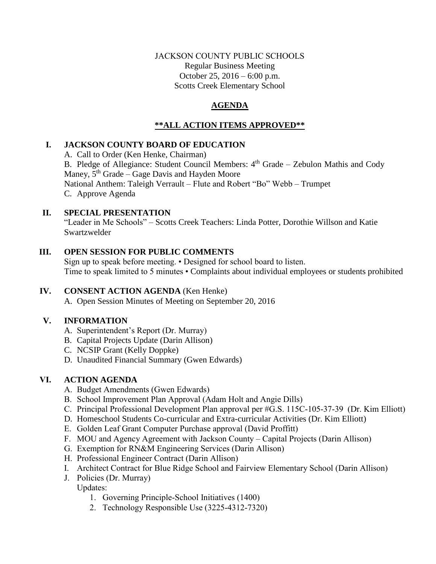### JACKSON COUNTY PUBLIC SCHOOLS Regular Business Meeting October 25, 2016 – 6:00 p.m. Scotts Creek Elementary School

# **AGENDA**

# **\*\*ALL ACTION ITEMS APPROVED\*\***

## **I. JACKSON COUNTY BOARD OF EDUCATION**

A. Call to Order (Ken Henke, Chairman) B. Pledge of Allegiance: Student Council Members:  $4<sup>th</sup>$  Grade – Zebulon Mathis and Cody Maney,  $5<sup>th</sup> Grade – Gage Davis and Hayden Moore$ National Anthem: Taleigh Verrault – Flute and Robert "Bo" Webb – Trumpet C. Approve Agenda

### **II. SPECIAL PRESENTATION**

"Leader in Me Schools" – Scotts Creek Teachers: Linda Potter, Dorothie Willson and Katie Swartzwelder

## **III. OPEN SESSION FOR PUBLIC COMMENTS**

Sign up to speak before meeting. • Designed for school board to listen. Time to speak limited to 5 minutes • Complaints about individual employees or students prohibited

## **IV. CONSENT ACTION AGENDA** (Ken Henke)

A. Open Session Minutes of Meeting on September 20, 2016

## **V. INFORMATION**

- A. Superintendent's Report (Dr. Murray)
- B. Capital Projects Update (Darin Allison)
- C. NCSIP Grant (Kelly Doppke)
- D. Unaudited Financial Summary (Gwen Edwards)

## **VI. ACTION AGENDA**

- A. Budget Amendments (Gwen Edwards)
- B. School Improvement Plan Approval (Adam Holt and Angie Dills)
- C. Principal Professional Development Plan approval per #G.S. 115C-105-37-39 (Dr. Kim Elliott)
- D. Homeschool Students Co-curricular and Extra-curricular Activities (Dr. Kim Elliott)
- E. Golden Leaf Grant Computer Purchase approval (David Proffitt)
- F. MOU and Agency Agreement with Jackson County Capital Projects (Darin Allison)
- G. Exemption for RN&M Engineering Services (Darin Allison)
- H. Professional Engineer Contract (Darin Allison)
- I. Architect Contract for Blue Ridge School and Fairview Elementary School (Darin Allison)
- J. Policies (Dr. Murray)

Updates:

- 1. Governing Principle-School Initiatives (1400)
- 2. Technology Responsible Use (3225-4312-7320)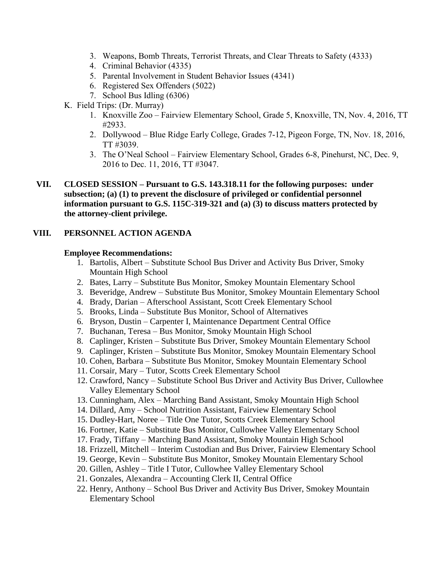- 3. Weapons, Bomb Threats, Terrorist Threats, and Clear Threats to Safety (4333)
- 4. Criminal Behavior (4335)
- 5. Parental Involvement in Student Behavior Issues (4341)
- 6. Registered Sex Offenders (5022)
- 7. School Bus Idling (6306)
- K. Field Trips: (Dr. Murray)
	- 1. Knoxville Zoo Fairview Elementary School, Grade 5, Knoxville, TN, Nov. 4, 2016, TT #2933.
	- 2. Dollywood Blue Ridge Early College, Grades 7-12, Pigeon Forge, TN, Nov. 18, 2016, TT #3039.
	- 3. The O'Neal School Fairview Elementary School, Grades 6-8, Pinehurst, NC, Dec. 9, 2016 to Dec. 11, 2016, TT #3047.
- **VII. CLOSED SESSION – Pursuant to G.S. 143.318.11 for the following purposes: under subsection; (a) (1) to prevent the disclosure of privileged or confidential personnel information pursuant to G.S. 115C-319-321 and (a) (3) to discuss matters protected by the attorney-client privilege.**

### **VIII. PERSONNEL ACTION AGENDA**

#### **Employee Recommendations:**

- 1. Bartolis, Albert Substitute School Bus Driver and Activity Bus Driver, Smoky Mountain High School
- 2. Bates, Larry Substitute Bus Monitor, Smokey Mountain Elementary School
- 3. Beveridge, Andrew Substitute Bus Monitor, Smokey Mountain Elementary School
- 4. Brady, Darian Afterschool Assistant, Scott Creek Elementary School
- 5. Brooks, Linda Substitute Bus Monitor, School of Alternatives
- 6. Bryson, Dustin Carpenter I, Maintenance Department Central Office
- 7. Buchanan, Teresa Bus Monitor, Smoky Mountain High School
- 8. Caplinger, Kristen Substitute Bus Driver, Smokey Mountain Elementary School
- 9. Caplinger, Kristen Substitute Bus Monitor, Smokey Mountain Elementary School
- 10. Cohen, Barbara Substitute Bus Monitor, Smokey Mountain Elementary School
- 11. Corsair, Mary Tutor, Scotts Creek Elementary School
- 12. Crawford, Nancy Substitute School Bus Driver and Activity Bus Driver, Cullowhee Valley Elementary School
- 13. Cunningham, Alex Marching Band Assistant, Smoky Mountain High School
- 14. Dillard, Amy School Nutrition Assistant, Fairview Elementary School
- 15. Dudley-Hart, Noree Title One Tutor, Scotts Creek Elementary School
- 16. Fortner, Katie Substitute Bus Monitor, Cullowhee Valley Elementary School
- 17. Frady, Tiffany Marching Band Assistant, Smoky Mountain High School
- 18. Frizzell, Mitchell Interim Custodian and Bus Driver, Fairview Elementary School
- 19. George, Kevin Substitute Bus Monitor, Smokey Mountain Elementary School
- 20. Gillen, Ashley Title I Tutor, Cullowhee Valley Elementary School
- 21. Gonzales, Alexandra Accounting Clerk II, Central Office
- 22. Henry, Anthony School Bus Driver and Activity Bus Driver, Smokey Mountain Elementary School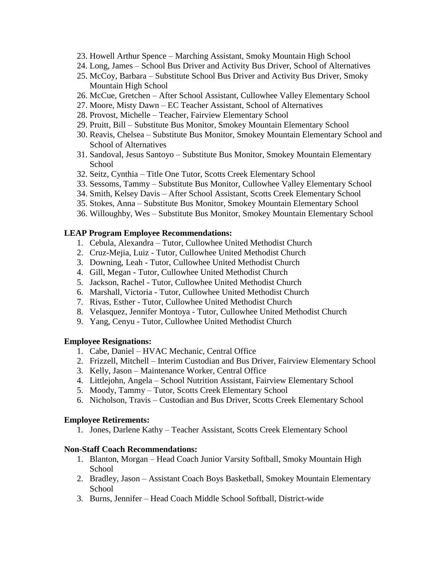- 23. Howell Arthur Spence Marching Assistant, Smoky Mountain High School
- 24. Long, James School Bus Driver and Activity Bus Driver, School of Alternatives
- 25. McCoy, Barbara Substitute School Bus Driver and Activity Bus Driver, Smoky Mountain High School
- 26. McCue, Gretchen After School Assistant, Cullowhee Valley Elementary School
- 27. Moore, Misty Dawn EC Teacher Assistant, School of Alternatives
- 28. Provost, Michelle Teacher, Fairview Elementary School
- 29. Pruitt, Bill Substitute Bus Monitor, Smokey Mountain Elementary School
- 30. Reavis, Chelsea Substitute Bus Monitor, Smokey Mountain Elementary School and School of Alternatives
- 31. Sandoval, Jesus Santoyo Substitute Bus Monitor, Smokey Mountain Elementary School
- 32. Seitz, Cynthia Title One Tutor, Scotts Creek Elementary School
- 33. Sessoms, Tammy Substitute Bus Monitor, Cullowhee Valley Elementary School
- 34. Smith, Kelsey Davis After School Assistant, Scotts Creek Elementary School
- 35. Stokes, Anna Substitute Bus Monitor, Smokey Mountain Elementary School
- 36. Willoughby, Wes Substitute Bus Monitor, Smokey Mountain Elementary School

#### **LEAP Program Employee Recommendations:**

- 1. Cebula, Alexandra Tutor, Cullowhee United Methodist Church
- 2. Cruz-Mejia, Luiz Tutor, Cullowhee United Methodist Church
- 3. Downing, Leah Tutor, Cullowhee United Methodist Church
- 4. Gill, Megan Tutor, Cullowhee United Methodist Church
- 5. Jackson, Rachel Tutor, Cullowhee United Methodist Church
- 6. Marshall, Victoria Tutor, Cullowhee United Methodist Church
- 7. Rivas, Esther Tutor, Cullowhee United Methodist Church
- 8. Velasquez, Jennifer Montoya Tutor, Cullowhee United Methodist Church
- 9. Yang, Cenyu Tutor, Cullowhee United Methodist Church

#### **Employee Resignations:**

- 1. Cabe, Daniel HVAC Mechanic, Central Office
- 2. Frizzell, Mitchell Interim Custodian and Bus Driver, Fairview Elementary School
- 3. Kelly, Jason Maintenance Worker, Central Office
- 4. Littlejohn, Angela School Nutrition Assistant, Fairview Elementary School
- 5. Moody, Tammy Tutor, Scotts Creek Elementary School
- 6. Nicholson, Travis Custodian and Bus Driver, Scotts Creek Elementary School

#### **Employee Retirements:**

1. Jones, Darlene Kathy – Teacher Assistant, Scotts Creek Elementary School

### **Non-Staff Coach Recommendations:**

- 1. Blanton, Morgan Head Coach Junior Varsity Softball, Smoky Mountain High School
- 2. Bradley, Jason Assistant Coach Boys Basketball, Smokey Mountain Elementary School
- 3. Burns, Jennifer Head Coach Middle School Softball, District-wide